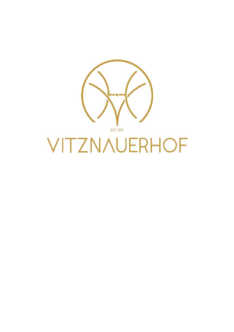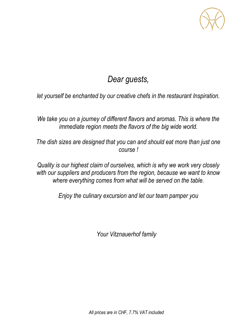

# *Dear guests,*

*let yourself be enchanted by our creative chefs in the restaurant Inspiration.*

*We take you on a journey of different flavors and aromas. This is where the immediate region meets the flavors of the big wide world.*

*The dish sizes are designed that you can and should eat more than just one course !*

*Quality is our highest claim of ourselves, which is why we work very closely with our suppliers and producers from the region, because we want to know where everything comes from what will be served on the table.*

*Enjoy the culinary excursion and let our team pamper you*

*Your Vitznauerhof family*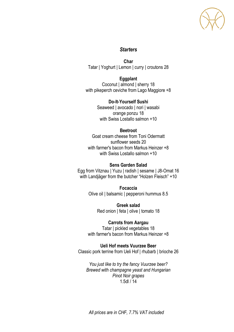

# *Starters*

**Char** Tatar | Yoghurt | Lemon | curry | croutons 28

**Eggplant** Coconut | almond | sherry 18 with pikeperch ceviche from Lago Maggiore +8

> **Do-It-Yourself Sushi** Seaweed | avocado | nori | wasabi orange ponzu 18 with Swiss Lostallo salmon +10

## **Beetroot**

Goat cream cheese from Toni Odermatt sunflower seeds 20 with farmer's bacon from Markus Heinzer +8 with Swiss Lostallo salmon +10

## **Sens Garden Salad**

Egg from Vitznau | Yuzu | radish | sesame | J8-Omat 16 with Landjäger from the butcher "Holzen Fleisch" +10

> **Focaccia** Olive oil | balsamic | pepperoni hummus 8.5

> > **Greek salad** Red onion | feta | olive | tomato 18

**Carrots from Aargau** Tatar I pickled vegetables 18

with farmer's bacon from Markus Heinzer +8

**Ueli Hof meets Vuurzee Beer** Classic pork terrine from Ueli Hof | rhubarb | brioche 26

*You just like to try the fancy Vuurzee beer? Brewed with champagne yeast and Hungarian Pinot Noir grapes* 1.5dl / 14

*All prices are in CHF, 7.7% VAT included*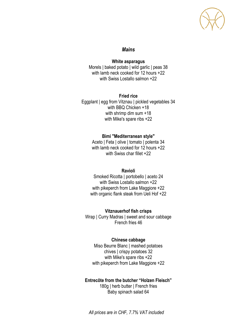## *Mains*

#### **White asparagus**

Morels | baked potato | wild garlic | peas 38 with lamb neck cooked for 12 hours +22 with Swiss Lostallo salmon +22

### **Fried rice**

Eggplant | egg from Vitznau | pickled vegetables 34 with BBQ Chicken +18 with shrimp dim sum +18 with Mike's spare ribs +22

## **Bimi "Mediterranean style"**

Aceto | Feta | olive | tomato | polenta 34 with lamb neck cooked for 12 hours +22 with Swiss char fillet +22

#### **Ravioli**

Smoked Ricotta | portobello | aceto 24 with Swiss Lostallo salmon +22 with pikeperch from Lake Maggiore +22 with organic flank steak from Ueli Hof +22

#### **Vitznauerhof fish crisps**

Wrap | Curry Madras | sweet and sour cabbage French fries 46

#### **Chinese cabbage**

Miso Beurre Blanc | mashed potatoes chives | crispy potatoes 32 with Mike's spare ribs +22 with pikeperch from Lake Maggiore +22

#### **Entrecôte from the butcher "Holzen Fleisch"**

180g | herb butter | French fries Baby spinach salad 64

*All prices are in CHF, 7.7% VAT included*